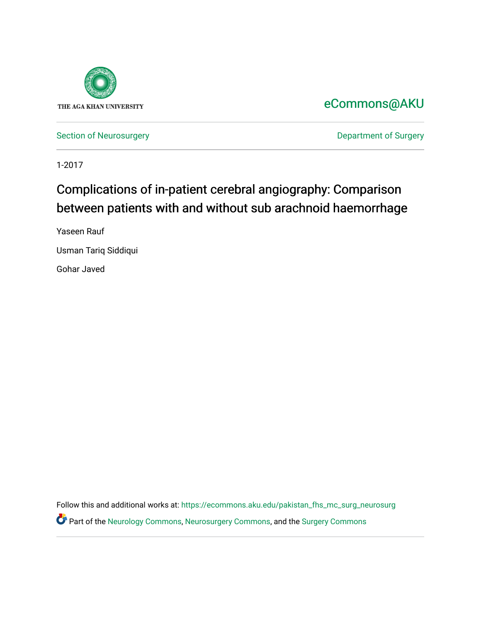

# [eCommons@AKU](https://ecommons.aku.edu/)

[Section of Neurosurgery](https://ecommons.aku.edu/pakistan_fhs_mc_surg_neurosurg) **Department of Surgery** Department of Surgery

1-2017

# Complications of in-patient cerebral angiography: Comparison between patients with and without sub arachnoid haemorrhage

Yaseen Rauf

Usman Tariq Siddiqui

Gohar Javed

Follow this and additional works at: [https://ecommons.aku.edu/pakistan\\_fhs\\_mc\\_surg\\_neurosurg](https://ecommons.aku.edu/pakistan_fhs_mc_surg_neurosurg?utm_source=ecommons.aku.edu%2Fpakistan_fhs_mc_surg_neurosurg%2F213&utm_medium=PDF&utm_campaign=PDFCoverPages)  Part of the [Neurology Commons](http://network.bepress.com/hgg/discipline/692?utm_source=ecommons.aku.edu%2Fpakistan_fhs_mc_surg_neurosurg%2F213&utm_medium=PDF&utm_campaign=PDFCoverPages), [Neurosurgery Commons](http://network.bepress.com/hgg/discipline/1428?utm_source=ecommons.aku.edu%2Fpakistan_fhs_mc_surg_neurosurg%2F213&utm_medium=PDF&utm_campaign=PDFCoverPages), and the [Surgery Commons](http://network.bepress.com/hgg/discipline/706?utm_source=ecommons.aku.edu%2Fpakistan_fhs_mc_surg_neurosurg%2F213&utm_medium=PDF&utm_campaign=PDFCoverPages)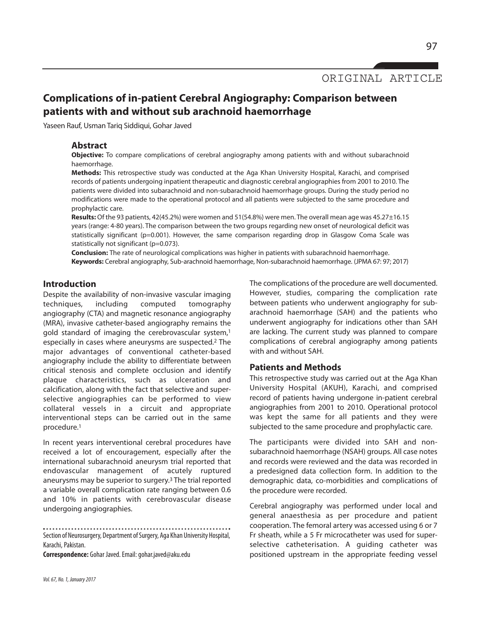ORIGINAL ARTICLE

# **Complications of in-patient Cerebral Angiography: Comparison between patients with and without sub arachnoid haemorrhage**

Yaseen Rauf, Usman Tariq Siddiqui, Gohar Javed

#### **Abstract**

**Objective:** To compare complications of cerebral angiography among patients with and without subarachnoid haemorrhage.

**Methods:** This retrospective study was conducted at the Aga Khan University Hospital, Karachi, and comprised records of patients undergoing inpatient therapeutic and diagnostic cerebral angiographies from 2001 to 2010. The patients were divided into subarachnoid and non-subarachnoid haemorrhage groups. During the study period no modifications were made to the operational protocol and all patients were subjected to the same procedure and prophylactic care.

**Results:** Of the 93 patients, 42(45.2%) were women and 51(54.8%) were men. The overall mean age was 45.27±16.15 years (range: 4-80 years). The comparison between the two groups regarding new onset of neurological deficit was statistically significant (p=0.001). However, the same comparison regarding drop in Glasgow Coma Scale was statistically not significant (p=0.073).

**Conclusion:** The rate of neurological complications was higher in patients with subarachnoid haemorrhage. **Keywords:** Cerebral angiography, Sub-arachnoid haemorrhage, Non-subarachnoid haemorrhage. (JPMA 67: 97; 2017)

#### **Introduction**

Despite the availability of non-invasive vascular imaging techniques, including computed tomography angiography (CTA) and magnetic resonance angiography (MRA), invasive catheter-based angiography remains the gold standard of imaging the cerebrovascular system, 1 especially in cases where aneurysms are suspected. <sup>2</sup> The major advantages of conventional catheter-based angiography include the ability to differentiate between critical stenosis and complete occlusion and identify plaque characteristics, such as ulceration and calcification, along with the fact that selective and superselective angiographies can be performed to view collateral vessels in a circuit and appropriate interventional steps can be carried out in the same procedure. 1

In recent years interventional cerebral procedures have received a lot of encouragement, especially after the international subarachnoid aneurysm trial reported that endovascular management of acutely ruptured aneurysms may be superior to surgery. <sup>3</sup> The trial reported a variable overall complication rate ranging between 0.6 and 10% in patients with cerebrovascular disease undergoing angiographies.

Section of Neurosurgery, Department of Surgery, Aga Khan University Hospital, Karachi, Pakistan.

**Correspondence:** Gohar Javed.Email:gohar.javed@aku.edu

The complications of the procedure are well documented. However, studies, comparing the complication rate between patients who underwent angiography for subarachnoid haemorrhage (SAH) and the patients who underwent angiography for indications other than SAH are lacking. The current study was planned to compare complications of cerebral angiography among patients with and without SAH.

### **Patients and Methods**

This retrospective study was carried out at the Aga Khan University Hospital (AKUH), Karachi, and comprised record of patients having undergone in-patient cerebral angiographies from 2001 to 2010. Operational protocol was kept the same for all patients and they were subjected to the same procedure and prophylactic care.

The participants were divided into SAH and nonsubarachnoid haemorrhage (NSAH) groups. All case notes and records were reviewed and the data was recorded in a predesigned data collection form. In addition to the demographic data, co-morbidities and complications of the procedure were recorded.

Cerebral angiography was performed under local and general anaesthesia as per procedure and patient cooperation. The femoral artery was accessed using 6 or 7 Fr sheath, while a 5 Fr microcatheter was used for superselective catheterisation. A guiding catheter was positioned upstream in the appropriate feeding vessel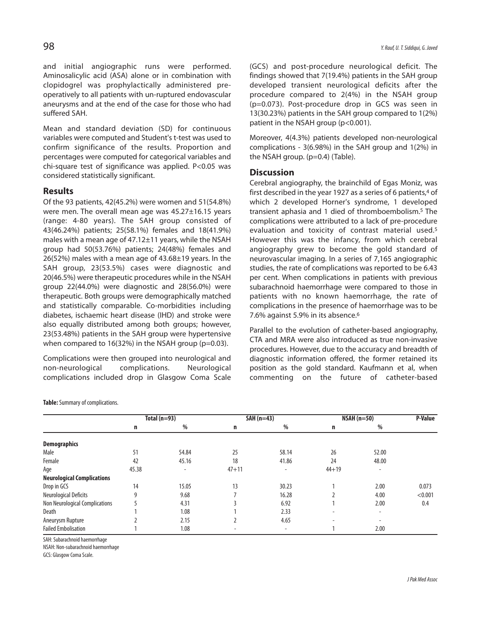and initial angiographic runs were performed. Aminosalicylic acid (ASA) alone or in combination with clopidogrel was prophylactically administered preoperatively to all patients with un-ruptured endovascular aneurysms and at the end of the case for those who had suffered SAH.

Mean and standard deviation (SD) for continuous variables were computed and Student's t-test was used to confirm significance of the results. Proportion and percentages were computed for categorical variables and chi-square test of significance was applied. P<0.05 was considered statistically significant.

## **Results**

Of the 93 patients, 42(45.2%) were women and 51(54.8%) were men. The overall mean age was 45.27±16.15 years (range: 4-80 years). The SAH group consisted of 43(46.24%) patients; 25(58.1%) females and 18(41.9%) males with a mean age of 47.12±11 years, while the NSAH group had 50(53.76%) patients; 24(48%) females and 26(52%) males with a mean age of 43.68±19 years. In the SAH group, 23(53.5%) cases were diagnostic and 20(46.5%) were therapeutic procedures while in the NSAH group 22(44.0%) were diagnostic and 28(56.0%) were therapeutic. Both groups were demographically matched and statistically comparable. Co-morbidities including diabetes, ischaemic heart disease (IHD) and stroke were also equally distributed among both groups; however, 23(53.48%) patients in the SAH group were hypertensive when compared to 16(32%) in the NSAH group ( $p=0.03$ ).

Complications were then grouped into neurological and non-neurological complications. Neurological complications included drop in Glasgow Coma Scale

**Table:** Summary of complications.

(GCS) and post-procedure neurological deficit. The findings showed that 7(19.4%) patients in the SAH group developed transient neurological deficits after the procedure compared to 2(4%) in the NSAH group (p=0.073). Post-procedure drop in GCS was seen in 13(30.23%) patients in the SAH group compared to 1(2%) patient in the NSAH group (p<0.001).

Moreover, 4(4.3%) patients developed non-neurological complications - 3(6.98%) in the SAH group and 1(2%) in the NSAH group. (p=0.4) (Table).

### **Discussion**

Cerebral angiography, the brainchild of Egas Moniz, was first described in the year 1927 as a series of 6 patients, <sup>4</sup> of which 2 developed Horner's syndrome, 1 developed transient aphasia and 1 died of thromboembolism. <sup>5</sup> The complications were attributed to a lack of pre-procedure evaluation and toxicity of contrast material used. 5 However this was the infancy, from which cerebral angiography grew to become the gold standard of neurovascular imaging. In a series of 7,165 angiographic studies, the rate of complications was reported to be 6.43 per cent. When complications in patients with previous subarachnoid haemorrhage were compared to those in patients with no known haemorrhage, the rate of complications in the presence of haemorrhage was to be 7.6% against 5.9% in its absence. 6

Parallel to the evolution of catheter-based angiography, CTA and MRA were also introduced as true non-invasive procedures. However, due to the accuracy and breadth of diagnostic information offered, the former retained its position as the gold standard. Kaufmann et al, when commenting on the future of catheter-based

|                                   | Total $(n=93)$ |                          | $SAH(n=43)$    |                          | $NSAH(n=50)$             |                          | P-Value |
|-----------------------------------|----------------|--------------------------|----------------|--------------------------|--------------------------|--------------------------|---------|
|                                   | n              | %                        | n              | %                        | n                        | $\%$                     |         |
| <b>Demographics</b>               |                |                          |                |                          |                          |                          |         |
| Male                              | 51             | 54.84                    | 25             | 58.14                    | 26                       | 52.00                    |         |
| Female                            | 42             | 45.16                    | 18             | 41.86                    | 24                       | 48.00                    |         |
| Age                               | 45.38          | $\overline{\phantom{a}}$ | $47 + 11$      | $\overline{\phantom{a}}$ | $44 + 19$                | $\overline{\phantom{a}}$ |         |
| <b>Neurological Complications</b> |                |                          |                |                          |                          |                          |         |
| Drop in GCS                       | 14             | 15.05                    | 13             | 30.23                    |                          | 2.00                     | 0.073   |
| <b>Neurological Deficits</b>      | q              | 9.68                     |                | 16.28                    |                          | 4.00                     | < 0.001 |
| Non Neurological Complications    |                | 4.31                     |                | 6.92                     |                          | 2.00                     | 0.4     |
| <b>Death</b>                      |                | 1.08                     |                | 2.33                     | $\overline{\phantom{a}}$ | $\overline{\phantom{0}}$ |         |
| Aneurysm Rupture                  |                | 2.15                     |                | 4.65                     |                          | ٠                        |         |
| <b>Failed Embolisation</b>        |                | 1.08                     | $\blacksquare$ | $\overline{\phantom{a}}$ |                          | 2.00                     |         |

SAH: Subarachnoid haemorrhage

NSAH: Non-subarachnoid haemorrhage

GCS: Glasgow Coma Scale.